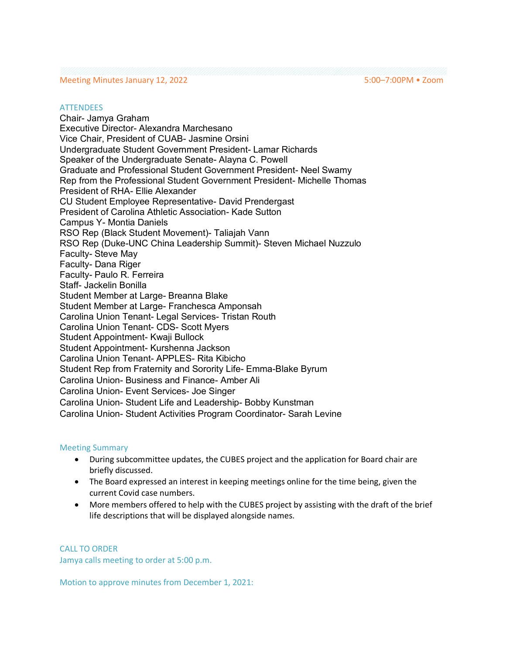## Meeting Minutes January 12, 2022 5:00–7:00PM • Zoom

#### **ATTENDEES**

Chair- Jamya Graham Executive Director- Alexandra Marchesano Vice Chair, President of CUAB- Jasmine Orsini Undergraduate Student Government President- Lamar Richards Speaker of the Undergraduate Senate- Alayna C. Powell Graduate and Professional Student Government President- Neel Swamy Rep from the Professional Student Government President- Michelle Thomas President of RHA- Ellie Alexander CU Student Employee Representative- David Prendergast President of Carolina Athletic Association- Kade Sutton Campus Y- Montia Daniels RSO Rep (Black Student Movement)- Taliajah Vann RSO Rep (Duke-UNC China Leadership Summit)- Steven Michael Nuzzulo Faculty- Steve May Faculty- Dana Riger Faculty- Paulo R. Ferreira Staff- Jackelin Bonilla Student Member at Large- Breanna Blake Student Member at Large- Franchesca Amponsah Carolina Union Tenant- Legal Services- Tristan Routh Carolina Union Tenant- CDS- Scott Myers Student Appointment- Kwaji Bullock Student Appointment- Kurshenna Jackson Carolina Union Tenant- APPLES- Rita Kibicho Student Rep from Fraternity and Sorority Life- Emma-Blake Byrum Carolina Union- Business and Finance- Amber Ali Carolina Union- Event Services- Joe Singer Carolina Union- Student Life and Leadership- Bobby Kunstman Carolina Union- Student Activities Program Coordinator- Sarah Levine

### Meeting Summary

- During subcommittee updates, the CUBES project and the application for Board chair are briefly discussed.
- The Board expressed an interest in keeping meetings online for the time being, given the current Covid case numbers.
- More members offered to help with the CUBES project by assisting with the draft of the brief life descriptions that will be displayed alongside names.

CALL TO ORDER

Jamya calls meeting to order at 5:00 p.m.

Motion to approve minutes from December 1, 2021: